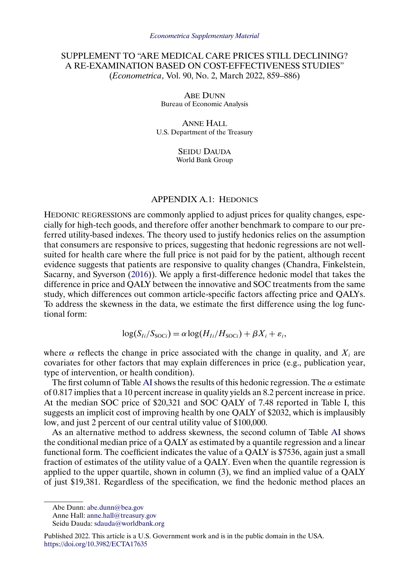# <span id="page-0-0"></span>SUPPLEMENT TO "ARE MEDICAL CARE PRICES STILL DECLINING? A RE-EXAMINATION BASED ON COST-EFFECTIVENESS STUDIES" (*Econometrica*, Vol. 90, No. 2, March 2022, 859–886)

**ABE DUNN** Bureau of Economic Analysis

ANNE HALL U.S. Department of the Treasury

> SEIDU DAUDA World Bank Group

## APPENDIX A.1: HEDONICS

HEDONIC REGRESSIONS are commonly applied to adjust prices for quality changes, especially for high-tech goods, and therefore offer another benchmark to compare to our preferred utility-based indexes. The theory used to justify hedonics relies on the assumption that consumers are responsive to prices, suggesting that hedonic regressions are not wellsuited for health care where the full price is not paid for by the patient, although recent evidence suggests that patients are responsive to quality changes (Chandra, Finkelstein, Sacarny, and Syverson [\(2016\)](#page-8-0)). We apply a first-difference hedonic model that takes the difference in price and QALY between the innovative and SOC treatments from the same study, which differences out common article-specific factors affecting price and QALYs. To address the skewness in the data, we estimate the first difference using the log functional form:

 $\log(S_{Ii}/S_{\text{SOC}}) = \alpha \log(H_{Ii}/H_{\text{SOC}}) + \beta X_i + \varepsilon_i,$ 

where  $\alpha$  reflects the change in price associated with the change in quality, and  $X_i$  are covariates for other factors that may explain differences in price (e.g., publication year, type of intervention, or health condition).

The first column of Table [AI](#page-1-0) shows the results of this hedonic regression. The  $\alpha$  estimate of 0.817 implies that a 10 percent increase in quality yields an 8.2 percent increase in price. At the median SOC price of \$20,321 and SOC QALY of 7.48 reported in Table I, this suggests an implicit cost of improving health by one QALY of \$2032, which is implausibly low, and just 2 percent of our central utility value of \$100,000.

As an alternative method to address skewness, the second column of Table [AI](#page-1-0) shows the conditional median price of a QALY as estimated by a quantile regression and a linear functional form. The coefficient indicates the value of a QALY is \$7536, again just a small fraction of estimates of the utility value of a QALY. Even when the quantile regression is applied to the upper quartile, shown in column (3), we find an implied value of a QALY of just \$19,381. Regardless of the specification, we find the hedonic method places an

Abe Dunn: [abe.dunn@bea.gov](mailto:abe.dunn@bea.gov)

Anne Hall: [anne.hall@treasury.gov](mailto:anne.hall@treasury.gov)

Seidu Dauda: [sdauda@worldbank.org](mailto:sdauda@worldbank.org)

Published 2022. This article is a U.S. Government work and is in the public domain in the USA. <https://doi.org/10.3982/ECTA17635>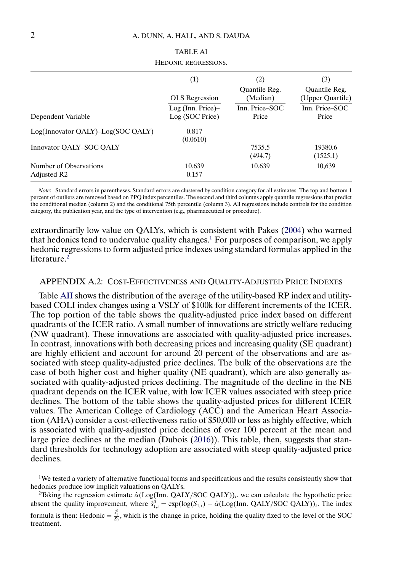<span id="page-1-0"></span>

|                                                   | (1)                                     | (2)                       | (3)<br>Quantile Reg.<br>(Upper Quartile)<br>Inn. Price-SOC<br>Price |  |
|---------------------------------------------------|-----------------------------------------|---------------------------|---------------------------------------------------------------------|--|
|                                                   | <b>OLS</b> Regression                   | Quantile Reg.<br>(Median) |                                                                     |  |
| Dependent Variable                                | $Log (Inn. Price)$ -<br>Log (SOC Price) | Inn. Price–SOC<br>Price   |                                                                     |  |
| Log(Innovator QALY)-Log(SOC QALY)                 | 0.817<br>(0.0610)                       |                           |                                                                     |  |
| Innovator OALY-SOC OALY                           |                                         | 7535.5<br>(494.7)         | 19380.6<br>(1525.1)                                                 |  |
| Number of Observations<br>Adjusted R <sub>2</sub> | 10,639<br>0.157                         | 10,639                    | 10,639                                                              |  |

# TABLE AI HEDONIC REGRESSIONS.

*Note*: Standard errors in parentheses. Standard errors are clustered by condition category for all estimates. The top and bottom 1 percent of outliers are removed based on PPQ index percentiles. The second and third columns apply quantile regressions that predict the conditional median (column 2) and the conditional 75th percentile (column 3). All regressions include controls for the condition category, the publication year, and the type of intervention (e.g., pharmaceutical or procedure).

extraordinarily low value on QALYs, which is consistent with Pakes [\(2004\)](#page-8-0) who warned that hedonics tend to undervalue quality changes.<sup>1</sup> For purposes of comparison, we apply hedonic regressions to form adjusted price indexes using standard formulas applied in the literature.<sup>2</sup>

## APPENDIX A.2: COST-EFFECTIVENESS AND QUALITY-ADJUSTED PRICE INDEXES

Table [AII](#page-2-0) shows the distribution of the average of the utility-based RP index and utilitybased COLI index changes using a VSLY of \$100k for different increments of the ICER. The top portion of the table shows the quality-adjusted price index based on different quadrants of the ICER ratio. A small number of innovations are strictly welfare reducing (NW quadrant). These innovations are associated with quality-adjusted price increases. In contrast, innovations with both decreasing prices and increasing quality (SE quadrant) are highly efficient and account for around 20 percent of the observations and are associated with steep quality-adjusted price declines. The bulk of the observations are the case of both higher cost and higher quality (NE quadrant), which are also generally associated with quality-adjusted prices declining. The magnitude of the decline in the NE quadrant depends on the ICER value, with low ICER values associated with steep price declines. The bottom of the table shows the quality-adjusted prices for different ICER values. The American College of Cardiology (ACC) and the American Heart Association (AHA) consider a cost-effectiveness ratio of \$50,000 or less as highly effective, which is associated with quality-adjusted price declines of over 100 percent at the mean and large price declines at the median (Dubois [\(2016\)](#page-8-0)). This table, then, suggests that standard thresholds for technology adoption are associated with steep quality-adjusted price declines.

<sup>1</sup>We tested a variety of alternative functional forms and specifications and the results consistently show that hedonics produce low implicit valuations on QALYs.

<sup>&</sup>lt;sup>2</sup>Taking the regression estimate  $\hat{\alpha}$ (Log(Inn. QALY/SOC QALY))<sub>i</sub>, we can calculate the hypothetic price absent the quality improvement, where  $\hat{s}_{1,i}^0 = \exp(\log(S_{1,i}) - \hat{\alpha}(\text{Log(Inn. QALY/SOC QALY}))_i$ . The index formula is then: Hedonic =  $\frac{s_1^0}{s_0}$ , which is the change in price, holding the quality fixed to the level of the SOC treatment.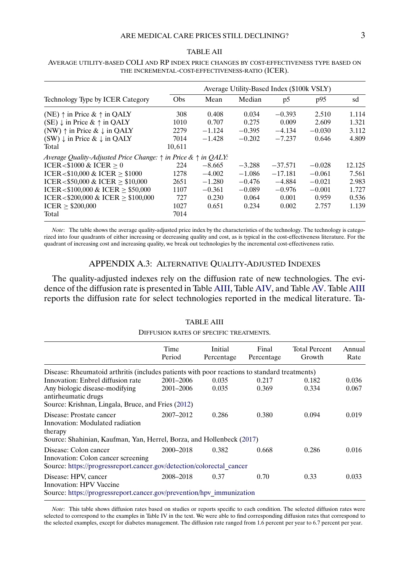## ARE MEDICAL CARE PRICES STILL DECLINING?  $3$

### TABLE AII

# Average Utility-Based Index (\$100k VSLY) Technology Type by ICER Category Obs Mean Median p5 p95 sd (NE)  $\uparrow$  in Price &  $\uparrow$  in QALY 308 0.408 0.034 −0.393 2.510 1.114<br>
(SE)  $\downarrow$  in Price &  $\uparrow$  in OALY 1010 0.707 0.275 0.009 2.609 1.321 (SE)  $\downarrow$  in Price &  $\uparrow$  in QALY 1010 0.707 0.275 0.009 2.609 1.321<br>
(NW)  $\uparrow$  in Price &  $\downarrow$  in QALY 2279 -1.124 -0.395 -4.134 -0.030 3.112 (NW)  $\uparrow$  in Price & ↓ in QALY 2279 -1.124 -0.395 -4.134 -0.030 3.112<br>
(SW) ↓ in Price & ↓ in OALY 7014 -1.428 -0.202 -7.237 0.646 4.809 (SW)  $\downarrow$  in Price &  $\downarrow$  in QALY Total 10.611 *Average Quality-Adjusted Price Change:* ↑ *in Price &* ↑ *in QALY:*  $ICER < $1000 \& ICER \ge 0$ <br>  $12.125$ <br>  $ICER < $10.000 \& ICER > $1000$ <br>  $1278 -4.002 -1.086 -17.181 -0.061 -7.561$ ICER<\$10,000 & ICER ≥ \$1000  $1278 -4.002 -1.086 -17.181 -0.061$  7.561<br>ICER <\$50,000 & ICER > \$10,000  $2651 -1.280 -0.476 -4.884 -0.021$  2.983  $ICER < $50,000 \& \text{ICER} \geq $10,000$   $2651$   $-1.280$   $-0.476$   $-4.884$   $-0.021$   $2.983$ <br> $ICER < $100,000 \& \text{ICER} \geq $50,000$   $1107$   $-0.361$   $-0.089$   $-0.976$   $-0.001$   $1.727$  $ICER < $100,000 \& \text{ICER} \ge $50,000$   $1107$   $-0.361$   $-0.089$   $-0.976$   $-0.001$   $1.727$ <br> $ICER < $200,000 \& \text{ICER} > $100,000$   $727$   $0.230$   $0.064$   $0.001$   $0.959$   $0.536$  $ICER < $200,000 \& \text{ICER} \ge $100,000$   $\qquad 727$   $\qquad 0.230$   $\qquad 0.064$   $\qquad 0.001$   $\qquad 0.959$   $\qquad 0.536$ <br> $ICER > $200,000$   $\qquad 1027$   $\qquad 0.651$   $\qquad 0.234$   $\qquad 0.002$   $\qquad 2.757$   $\qquad 1.139$  $\text{ICER} \geq $200,000$  1027<br>Total 7014 Total 7014

## <span id="page-2-0"></span>AVERAGE UTILITY-BASED COLI AND RP INDEX PRICE CHANGES BY COST-EFFECTIVENESS TYPE BASED ON THE INCREMENTAL-COST-EFFECTIVENESS-RATIO (ICER).

*Note*: The table shows the average quality-adjusted price index by the characteristics of the technology. The technology is categorized into four quadrants of either increasing or decreasing quality and cost, as is typical in the cost-effectiveness literature. For the quadrant of increasing cost and increasing quality, we break out technologies by the incremental cost-effectiveness ratio.

## APPENDIX A.3: ALTERNATIVE QUALITY-ADJUSTED INDEXES

The quality-adjusted indexes rely on the diffusion rate of new technologies. The evidence of the diffusion rate is presented in Table AIII, Table [AIV,](#page-3-0) and Table [AV.](#page-4-0) Table AIII reports the diffusion rate for select technologies reported in the medical literature. Ta-

### TABLE AIII

#### DIFFUSION RATES OF SPECIFIC TREATMENTS.

|                                                                                                                                                 | Time<br>Period | Initial<br>Percentage | Final<br>Percentage | <b>Total Percent</b><br>Growth | Annual<br>Rate |
|-------------------------------------------------------------------------------------------------------------------------------------------------|----------------|-----------------------|---------------------|--------------------------------|----------------|
| Disease: Rheumatoid arthritis (includes patients with poor reactions to standard treatments)                                                    |                |                       |                     |                                |                |
| Innovation: Enbrel diffusion rate                                                                                                               | 2001-2006      | 0.035                 | 0.217               | 0.182                          | 0.036          |
| Any biologic disease-modifying<br>antirheumatic drugs                                                                                           | 2001-2006      | 0.035                 | 0.369               | 0.334                          | 0.067          |
| Source: Krishnan, Lingala, Bruce, and Fries (2012)                                                                                              |                |                       |                     |                                |                |
| Disease: Prostate cancer<br>Innovation: Modulated radiation<br>therapy<br>Source: Shahinian, Kaufman, Yan, Herrel, Borza, and Hollenbeck (2017) | 2007-2012      | 0.286                 | 0.380               | 0.094                          | 0.019          |
| Disease: Colon cancer<br>Innovation: Colon cancer screening<br>Source: https://progressreport.cancer.gov/detection/colorectal cancer            | 2000–2018      | 0.382                 | 0.668               | 0.286                          | 0.016          |
| Disease: HPV, cancer<br>Innovation: HPV Vaccine<br>Source: https://progressreport.cancer.gov/prevention/hpv immunization                        | 2008-2018      | 0.37                  | 0.70                | 0.33                           | 0.033          |

*Note*: This table shows diffusion rates based on studies or reports specific to each condition. The selected diffusion rates were selected to correspond to the examples in Table IV in the text. We were able to find corresponding diffusion rates that correspond to the selected examples, except for diabetes management. The diffusion rate ranged from 1.6 percent per year to 6.7 percent per year.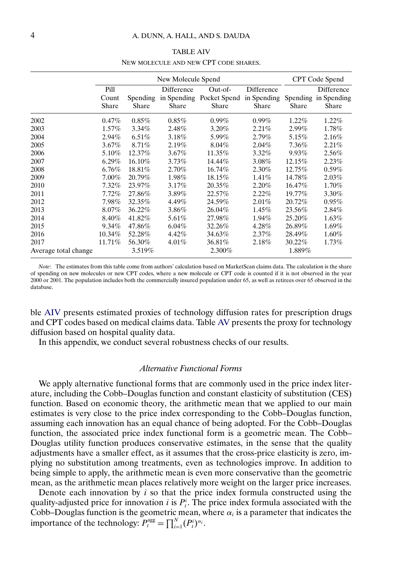### TABLE AIV

#### NEW MOLECULE AND NEW CPT CODE SHARES.

<span id="page-3-0"></span>

|                      |                        |                          | New Molecule Spend  |                                              |                                    |          | CPT Code Spend                              |
|----------------------|------------------------|--------------------------|---------------------|----------------------------------------------|------------------------------------|----------|---------------------------------------------|
|                      | Pill<br>Count<br>Share | <b>Spending</b><br>Share | Difference<br>Share | Out-of-<br>in Spending Pocket Spend<br>Share | Difference<br>in Spending<br>Share | Share    | Difference<br>Spending in Spending<br>Share |
| 2002                 | 0.47%                  | $0.85\%$                 | $0.85\%$            | $0.99\%$                                     | $0.99\%$                           | $1.22\%$ | $1.22\%$                                    |
| 2003                 | $1.57\%$               | $3.34\%$                 | 2.48%               | $3.20\%$                                     | 2.21%                              | $2.99\%$ | $1.78\%$                                    |
| 2004                 | 2.94%                  | $6.51\%$                 | 3.18%               | 5.99%                                        | $2.79\%$                           | 5.15%    | $2.16\%$                                    |
| 2005                 | $3.67\%$               | 8.71%                    | 2.19%               | $8.04\%$                                     | 2.04%                              | 7.36%    | 2.21%                                       |
| 2006                 | 5.10%                  | 12.37%                   | $3.67\%$            | 11.35%                                       | $3.32\%$                           | 9.93%    | $2.56\%$                                    |
| 2007                 | $6.29\%$               | 16.10%                   | $3.73\%$            | 14.44%                                       | $3.08\%$                           | 12.15%   | 2.23%                                       |
| 2008                 | $6.76\%$               | 18.81%                   | $2.70\%$            | 16.74%                                       | 2.30%                              | 12.75%   | $0.59\%$                                    |
| 2009                 | $7.00\%$               | 20.79%                   | $1.98\%$            | 18.15%                                       | 1.41%                              | 14.78%   | 2.03%                                       |
| 2010                 | 7.32%                  | 23.97%                   | $3.17\%$            | 20.35%                                       | 2.20%                              | 16.47%   | 1.70%                                       |
| 2011                 | 7.72%                  | 27.86%                   | 3.89%               | 22.57%                                       | 2.22%                              | 19.77%   | 3.30%                                       |
| 2012                 | 7.98%                  | 32.35%                   | 4.49%               | 24.59%                                       | 2.01%                              | 20.72%   | $0.95\%$                                    |
| 2013                 | 8.07%                  | 36.22%                   | 3.86%               | 26.04%                                       | 1.45%                              | 23.56%   | 2.84%                                       |
| 2014                 | 8.40%                  | 41.82%                   | 5.61%               | 27.98%                                       | 1.94%                              | 25.20%   | $1.63\%$                                    |
| 2015                 | $9.34\%$               | 47.86%                   | $6.04\%$            | 32.26%                                       | $4.28\%$                           | 26.89%   | $1.69\%$                                    |
| 2016                 | 10.34%                 | 52.28%                   | 4.42%               | 34.63%                                       | 2.37%                              | 28.49%   | $1.60\%$                                    |
| 2017                 | 11.71%                 | 56.30%                   | $4.01\%$            | 36.81%                                       | 2.18%                              | 30.22%   | 1.73%                                       |
| Average total change |                        | 3.519%                   |                     | 2.300%                                       |                                    | 1.889%   |                                             |

*Note*: The estimates from this table come from authors' calculation based on MarketScan claims data. The calculation is the share of spending on new molecules or new CPT codes, where a new molecule or CPT code is counted if it is not observed in the year 2000 or 2001. The population includes both the commercially insured population under 65, as well as retirees over 65 observed in the database.

ble AIV presents estimated proxies of technology diffusion rates for prescription drugs and CPT codes based on medical claims data. Table [AV](#page-4-0) presents the proxy for technology diffusion based on hospital quality data.

In this appendix, we conduct several robustness checks of our results.

## *Alternative Functional Forms*

We apply alternative functional forms that are commonly used in the price index literature, including the Cobb–Douglas function and constant elasticity of substitution (CES) function. Based on economic theory, the arithmetic mean that we applied to our main estimates is very close to the price index corresponding to the Cobb–Douglas function, assuming each innovation has an equal chance of being adopted. For the Cobb–Douglas function, the associated price index functional form is a geometric mean. The Cobb– Douglas utility function produces conservative estimates, in the sense that the quality adjustments have a smaller effect, as it assumes that the cross-price elasticity is zero, implying no substitution among treatments, even as technologies improve. In addition to being simple to apply, the arithmetic mean is even more conservative than the geometric mean, as the arithmetic mean places relatively more weight on the larger price increases.

Denote each innovation by  $i$  so that the price index formula constructed using the quality-adjusted price for innovation *i* is  $P_i^i$ . The price index formula associated with the Cobb–Douglas function is the geometric mean, where  $\alpha_i$  is a parameter that indicates the importance of the technology:  $P_t^{\text{agg}} = \prod_{i=1}^{N} (P_t^i)^{\alpha_i}$ .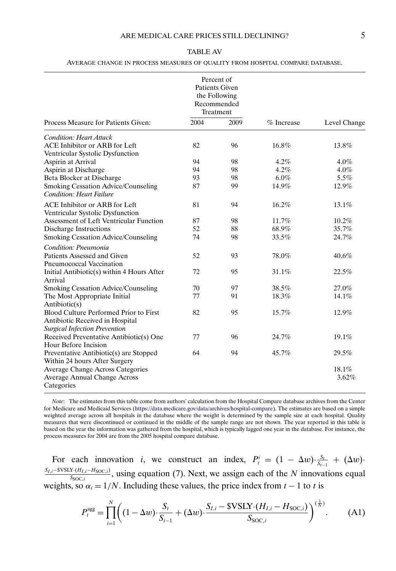## TABLE AV

#### AVERAGE CHANGE IN PROCESS MEASURES OF QUALITY FROM HOSPITAL COMPARE DATABASE.

<span id="page-4-0"></span>

|                                                                                                                                    |      | Percent of<br>Patients Given<br>the Following<br>Recommended<br>Treatment |            |                |  |
|------------------------------------------------------------------------------------------------------------------------------------|------|---------------------------------------------------------------------------|------------|----------------|--|
| Process Measure for Patients Given:                                                                                                | 2004 | 2009                                                                      | % Increase | Level Change   |  |
| <b>Condition: Heart Attack</b><br>ACE Inhibitor or ARB for Left<br>Ventricular Systolic Dysfunction                                | 82   | 96                                                                        | 16.8%      | 13.8%          |  |
| Aspirin at Arrival                                                                                                                 | 94   | 98                                                                        | 4.2%       | $4.0\%$        |  |
| Aspirin at Discharge                                                                                                               | 94   | 98                                                                        | 4.2%       | $4.0\%$        |  |
| Beta Blocker at Discharge                                                                                                          | 93   | 98                                                                        | $6.0\%$    | 5.5%           |  |
| Smoking Cessation Advice/Counseling<br><b>Condition: Heart Failure</b>                                                             | 87   | 99                                                                        | 14.9%      | 12.9%          |  |
| ACE Inhibitor or ARB for Left<br>Ventricular Systolic Dysfunction                                                                  | 81   | 94                                                                        | 16.2%      | 13.1%          |  |
| Assessment of Left Ventricular Function                                                                                            | 87   | 98                                                                        | 11.7%      | 10.2%          |  |
| Discharge Instructions                                                                                                             | 52   | 88                                                                        | 68.9%      | 35.7%          |  |
| Smoking Cessation Advice/Counseling                                                                                                | 74   | 98                                                                        | 33.5%      | 24.7%          |  |
| Condition: Pneumonia                                                                                                               |      |                                                                           |            |                |  |
| Patients Assessed and Given                                                                                                        | 52   | 93                                                                        | 78.0%      | 40.6%          |  |
| Pneumococcal Vaccination<br>Initial Antibiotic(s) within 4 Hours After<br>Arrival                                                  | 72   | 95                                                                        | 31.1%      | 22.5%          |  |
| Smoking Cessation Advice/Counseling                                                                                                | 70   | 97                                                                        | 38.5%      | 27.0%          |  |
| The Most Appropriate Initial                                                                                                       | 77   | 91                                                                        | 18.3%      | 14.1%          |  |
| Antibiotic(s)<br>Blood Culture Performed Prior to First<br>Antibiotic Received in Hospital<br><b>Surgical Infection Prevention</b> | 82   | 95                                                                        | 15.7%      | 12.9%          |  |
| Received Preventative Antibiotic(s) One<br>Hour Before Incision                                                                    | 77   | 96                                                                        | 24.7%      | 19.1%          |  |
| Preventative Antibiotic(s) are Stopped<br>Within 24 hours After Surgery                                                            | 64   | 94                                                                        | 45.7%      | 29.5%          |  |
| Average Change Across Categories<br>Average Annual Change Across<br>Categories                                                     |      |                                                                           |            | 18.1%<br>3.62% |  |

*Note*: The estimates from this table come from authors' calculation from the Hospital Compare database archives from the Center for Medicare and Medicaid Services [\(https://data.medicare.gov/data/archives/hospital-compare](https://data.medicare.gov/data/archives/hospital-compare)). The estimates are based on a simple weighted average across all hospitals in the database where the weight is determined by the sample size at each hospital. Quality measures that were discontinued or continued in the middle of the sample range are not shown. The year reported in this table is based on the year the information was gathered from the hospital, which is typically lagged one year in the database. For instance, the process measures for 2004 are from the 2005 hospital compare database.

For each innovation *i*, we construct an index,  $P_t^i = (1 - \Delta w) \cdot \frac{S_t}{S_{t-1}} + (\Delta w) \cdot$  $\frac{S_{I,i}-\text{SVSLY}(H_{I,i}-H_{\text{SOC},i})}{S_{\text{SOC},i}}$ , using equation (7). Next, we assign each of the N innovations equal weights, so  $\alpha_i = 1/N$ . Including these values, the price index from  $t - 1$  to t is

$$
P_t^{\text{agg}} = \prod_{i=1}^N \left( (1 - \Delta w) \cdot \frac{S_t}{S_{t-1}} + (\Delta w) \cdot \frac{S_{I,i} - \text{SVSLY} \cdot (H_{I,i} - H_{\text{SOC},i})}{S_{\text{SOC},i}} \right)^{(\frac{1}{N})}.
$$
 (A1)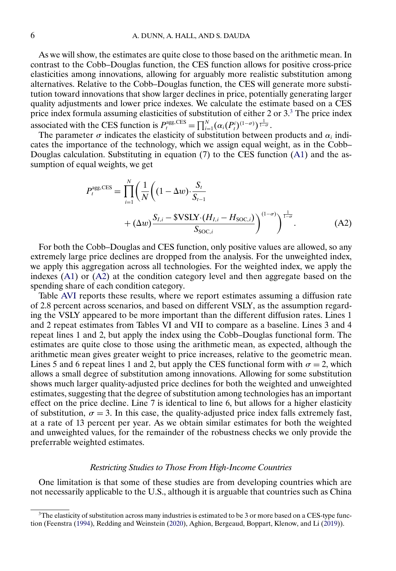<span id="page-5-0"></span>As we will show, the estimates are quite close to those based on the arithmetic mean. In contrast to the Cobb–Douglas function, the CES function allows for positive cross-price elasticities among innovations, allowing for arguably more realistic substitution among alternatives. Relative to the Cobb–Douglas function, the CES will generate more substitution toward innovations that show larger declines in price, potentially generating larger quality adjustments and lower price indexes. We calculate the estimate based on a CES price index formula assuming elasticities of substitution of either 2 or 3.<sup>3</sup> The price index associated with the CES function is  $P_t^{\text{agg,CES}} = \prod_{i=1}^{N} (\alpha_i (P_t^i)^{(1-\sigma)})^{\frac{1}{1-\sigma}}$ .

The parameter  $\sigma$  indicates the elasticity of substitution between products and  $\alpha_i$  indicates the importance of the technology, which we assign equal weight, as in the Cobb– Douglas calculation. Substituting in equation (7) to the CES function [\(A1\)](#page-4-0) and the assumption of equal weights, we get

$$
P_{t}^{\text{agg,CES}} = \prod_{i=1}^{N} \left( \frac{1}{N} \left( (1 - \Delta w) \cdot \frac{S_{t}}{S_{t-1}} + (\Delta w) \frac{S_{I,i} - \$VSLY \cdot (H_{I,i} - H_{SOC,i})}{S_{SOC,i}} \right)^{(1 - \sigma)} \right)^{\frac{1}{1 - \sigma}}.
$$
(A2)

For both the Cobb–Douglas and CES function, only positive values are allowed, so any extremely large price declines are dropped from the analysis. For the unweighted index, we apply this aggregation across all technologies. For the weighted index, we apply the indexes [\(A1\)](#page-4-0) or (A2) at the condition category level and then aggregate based on the spending share of each condition category.

Table [AVI](#page-6-0) reports these results, where we report estimates assuming a diffusion rate of 2.8 percent across scenarios, and based on different VSLY, as the assumption regarding the VSLY appeared to be more important than the different diffusion rates. Lines 1 and 2 repeat estimates from Tables VI and VII to compare as a baseline. Lines 3 and 4 repeat lines 1 and 2, but apply the index using the Cobb–Douglas functional form. The estimates are quite close to those using the arithmetic mean, as expected, although the arithmetic mean gives greater weight to price increases, relative to the geometric mean. Lines 5 and 6 repeat lines 1 and 2, but apply the CES functional form with  $\sigma = 2$ , which allows a small degree of substitution among innovations. Allowing for some substitution shows much larger quality-adjusted price declines for both the weighted and unweighted estimates, suggesting that the degree of substitution among technologies has an important effect on the price decline. Line 7 is identical to line 6, but allows for a higher elasticity of substitution,  $\sigma = 3$ . In this case, the quality-adjusted price index falls extremely fast, at a rate of 13 percent per year. As we obtain similar estimates for both the weighted and unweighted values, for the remainder of the robustness checks we only provide the preferrable weighted estimates.

## *Restricting Studies to Those From High-Income Countries*

One limitation is that some of these studies are from developing countries which are not necessarily applicable to the U.S., although it is arguable that countries such as China

<sup>&</sup>lt;sup>3</sup>The elasticity of substitution across many industries is estimated to be 3 or more based on a CES-type function (Feenstra [\(1994\)](#page-8-0), Redding and Weinstein [\(2020\)](#page-8-0), Aghion, Bergeaud, Boppart, Klenow, and Li [\(2019\)](#page-8-0)).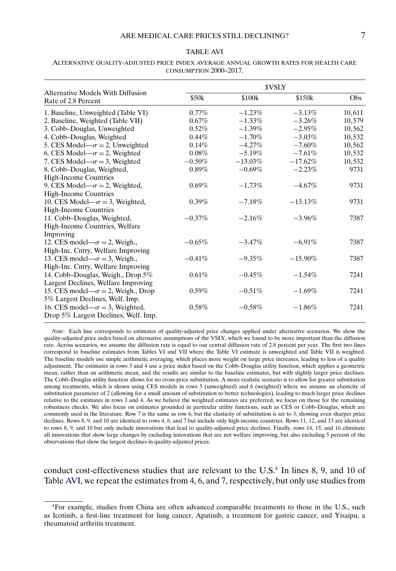#### TABLE AVI

|                                                          | <b><i>SVSLY</i></b> |            |            |        |  |
|----------------------------------------------------------|---------------------|------------|------------|--------|--|
| Alternative Models With Diffusion<br>Rate of 2.8 Percent | \$50k               | \$100k     | \$150k     | Obs.   |  |
| 1. Baseline, Unweighted (Table VI)                       | $0.77\%$            | $-1.23%$   | $-3.13%$   | 10,611 |  |
| 2. Baseline, Weighted (Table VII)                        | $0.67\%$            | $-1.33\%$  | $-3.26\%$  | 10,579 |  |
| 3. Cobb-Douglas, Unweighted                              | $0.52\%$            | $-1.39%$   | $-2.95\%$  | 10,562 |  |
| 4. Cobb-Douglas, Weighted                                | $0.44\%$            | $-1.70\%$  | $-3.03\%$  | 10,532 |  |
| 5. CES Model— $\sigma$ = 2, Unweighted                   | $0.14\%$            | $-4.27%$   | $-7.60\%$  | 10,562 |  |
| 6. CES Model— $\sigma$ = 2, Weighted                     | $0.08\%$            | $-5.19\%$  | $-7.61\%$  | 10,532 |  |
| 7. CES Model— $\sigma$ = 3, Weighted                     | $-0.50\%$           | $-13.03\%$ | $-17.62\%$ | 10,532 |  |
| 8. Cobb-Douglas, Weighted,                               | $0.89\%$            | $-0.69\%$  | $-2.23\%$  | 9731   |  |
| High-Income Countries                                    |                     |            |            |        |  |
| 9. CES Model— $\sigma$ = 2, Weighted,                    | $0.69\%$            | $-1.73\%$  | $-4.67\%$  | 9731   |  |
| <b>High-Income Countries</b>                             |                     |            |            |        |  |
| 10. CES Model— $\sigma$ = 3, Weighted,                   | $0.39\%$            | $-7.18%$   | $-13.13%$  | 9731   |  |
| <b>High-Income Countries</b>                             |                     |            |            |        |  |
| 11. Cobb-Douglas, Weighted,                              | $-0.37\%$           | $-2.16\%$  | $-3.96\%$  | 7387   |  |
| High-Income Countries, Welfare                           |                     |            |            |        |  |
| Improving                                                |                     |            |            |        |  |
| 12. CES model— $\sigma$ = 2, Weigh.,                     | $-0.65\%$           | $-3.47\%$  | $-6.91\%$  | 7387   |  |
| High-Inc. Cntry, Welfare Improving                       |                     |            |            |        |  |
| 13. CES model— $\sigma$ = 3, Weigh.,                     | $-0.41\%$           | $-9.35\%$  | $-15.90\%$ | 7387   |  |
|                                                          |                     |            |            |        |  |

High-Inc. Cntry, Welfare Improving

14. Cobb–Douglas, Weigh., Drop 5% Largest Declines, Welfare Improving

15. CES model— $\sigma = 2$ , Weigh., Drop 5% Largest Declines, Welf. Imp.

16. CES model— $\sigma = 3$ , Weighted, Drop 5% Largest Declines, Welf. Imp.

<span id="page-6-0"></span>ALTERNATIVE QUALITY-ADJUSTED PRICE INDEX AVERAGE ANNUAL GROWTH RATES FOR HEALTH CARE CONSUMPTION 2000–2017.

*Note*: Each line corresponds to estimates of quality-adjusted price changes applied under alternative scenarios. We show the quality-adjusted price index based on alternative assumptions of the VSLY, which we found to be more important than the diffusion rate. Across scenarios, we assume the diffusion rate is equal to our central diffusion rate of 2.8 percent per year. The first two lines correspond to baseline estimates from Tables VI and VII where the Table VI estimate is unweighted and Table VII is weighted. The baseline models use simple arithmetic averaging, which places more weight on large price increases, leading to less of a quality adjustment. The estimates in rows 3 and 4 use a price index based on the Cobb–Douglas utility function, which applies a geometric mean, rather than an arithmetic mean, and the results are similar to the baseline estimates, but with slightly larger price declines. The Cobb–Douglas utility function allows for no cross-price substitution. A more realistic scenario is to allow for greater substitution among treatments, which is shown using CES models in rows 5 (unweighted) and 6 (weighted) where we assume an elasticity of substitution parameter of 2 (allowing for a small amount of substitution to better technologies), leading to much larger price declines relative to the estimates in rows 3 and 4. As we believe the weighted estimates are preferred, we focus on those for the remaining robustness checks. We also focus on estimates grounded in particular utility functions, such as CES or Cobb–Douglas, which are commonly used in the literature. Row 7 is the same as row 6, but the elasticity of substitution is set to 3, showing even sharper price declines. Rows 8, 9, and 10 are identical to rows 4, 6, and 7 but include only high-income countries. Rows 11, 12, and 13 are identical to rows 8, 9, and 10 but only include innovations that lead to quality-adjusted price declines. Finally, rows 14, 15, and 16 eliminate all innovations that show large changes by excluding innovations that are not welfare improving, but also excluding 5 percent of the observations that show the largest declines in quality-adjusted prices.

0.61%  $-0.45\%$   $-1.54\%$  7241

 $0.59\%$   $-0.51\%$   $-1.69\%$  7241

0.58%  $-0.58\%$   $-1.86\%$  7241

conduct cost-effectiveness studies that are relevant to the  $U.S.<sup>4</sup>$  In lines 8, 9, and 10 of Table AVI, we repeat the estimates from 4, 6, and 7, respectively, but only use studies from

<sup>4</sup>For example, studies from China are often advanced comparable treatments to those in the U.S., such as Icotinib, a first-line treatment for lung cancer, Apatinib, a treatment for gastric cancer, and Yisaipu, a rheumatoid arthritis treatment.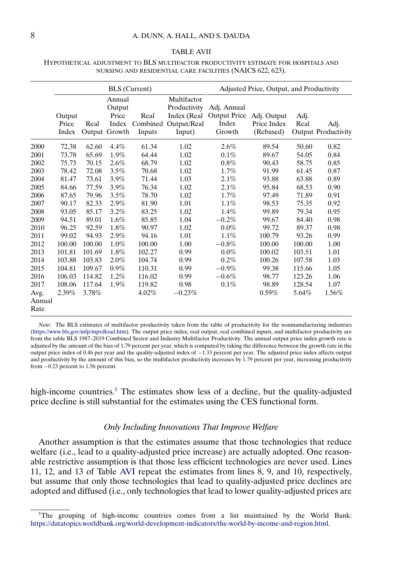#### TABLE AVII

### <span id="page-7-0"></span>HYPOTHETICAL ADJUSTMENT TO BLS MULTIFACTOR PRODUCTIVITY ESTIMATE FOR HOSPITALS AND NURSING AND RESIDENTIAL CARE FACILITIES (NAICS 622, 623).

|                | <b>BLS</b> (Current)     |                |                                              |                            | Adjusted Price, Output, and Productivity                            |                                                       |                                         |              |                                    |
|----------------|--------------------------|----------------|----------------------------------------------|----------------------------|---------------------------------------------------------------------|-------------------------------------------------------|-----------------------------------------|--------------|------------------------------------|
|                | Output<br>Price<br>Index | Real<br>Output | Annual<br>Output<br>Price<br>Index<br>Growth | Real<br>Combined<br>Inputs | Multifactor<br>Productivity<br>Index (Real<br>Output/Real<br>Input) | Adj. Annual<br><b>Output Price</b><br>Index<br>Growth | Adj. Output<br>Price Index<br>(Rebased) | Adj.<br>Real | Adj.<br><b>Output Productivity</b> |
| 2000           | 72.38                    | 62.60          | 4.4%                                         | 61.34                      | 1.02                                                                | 2.6%                                                  | 89.54                                   | 50.60        | 0.82                               |
| 2001           | 73.78                    | 65.69          | $1.9\%$                                      | 64.44                      | 1.02                                                                | 0.1%                                                  | 89.67                                   | 54.05        | 0.84                               |
| 2002           | 75.73                    | 70.15          | 2.6%                                         | 68.79                      | 1.02                                                                | $0.8\%$                                               | 90.43                                   | 58.75        | 0.85                               |
| 2003           | 78.42                    | 72.08          | 3.5%                                         | 70.68                      | 1.02                                                                | 1.7%                                                  | 91.99                                   | 61.45        | 0.87                               |
| 2004           | 81.47                    | 73.61          | $3.9\%$                                      | 71.44                      | 1.03                                                                | 2.1%                                                  | 93.88                                   | 63.88        | 0.89                               |
| 2005           | 84.66                    | 77.59          | $3.9\%$                                      | 76.34                      | 1.02                                                                | 2.1%                                                  | 95.84                                   | 68.53        | 0.90                               |
| 2006           | 87.65                    | 79.96          | 3.5%                                         | 78.70                      | 1.02                                                                | 1.7%                                                  | 97.49                                   | 71.89        | 0.91                               |
| 2007           | 90.17                    | 82.33          | 2.9%                                         | 81.90                      | 1.01                                                                | 1.1%                                                  | 98.53                                   | 75.35        | 0.92                               |
| 2008           | 93.05                    | 85.17          | 3.2%                                         | 83.25                      | 1.02                                                                | 1.4%                                                  | 99.89                                   | 79.34        | 0.95                               |
| 2009           | 94.51                    | 89.01          | $1.6\%$                                      | 85.85                      | 1.04                                                                | $-0.2\%$                                              | 99.67                                   | 84.40        | 0.98                               |
| 2010           | 96.25                    | 92.59          | 1.8%                                         | 90.97                      | 1.02                                                                | $0.0\%$                                               | 99.72                                   | 89.37        | 0.98                               |
| 2011           | 99.02                    | 94.93          | 2.9%                                         | 94.16                      | 1.01                                                                | 1.1%                                                  | 100.79                                  | 93.26        | 0.99                               |
| 2012           | 100.00                   | 100.00         | 1.0%                                         | 100.00                     | 1.00                                                                | $-0.8\%$                                              | 100.00                                  | 100.00       | 1.00                               |
| 2013           | 101.81                   | 101.69         | 1.8%                                         | 102.27                     | 0.99                                                                | $0.0\%$                                               | 100.02                                  | 103.51       | 1.01                               |
| 2014           | 103.88                   | 103.83         | 2.0%                                         | 104.74                     | 0.99                                                                | 0.2%                                                  | 100.26                                  | 107.58       | 1.03                               |
| 2015           | 104.81                   | 109.67         | $0.9\%$                                      | 110.31                     | 0.99                                                                | $-0.9\%$                                              | 99.38                                   | 115.66       | 1.05                               |
| 2016           | 106.03                   | 114.82         | $1.2\%$                                      | 116.02                     | 0.99                                                                | $-0.6\%$                                              | 98.77                                   | 123.26       | 1.06                               |
| 2017           | 108.06                   | 117.64         | $1.9\%$                                      | 119.82                     | 0.98                                                                | 0.1%                                                  | 98.89                                   | 128.54       | 1.07                               |
| Avg.           | 2.39%                    | 3.78%          |                                              | 4.02%                      | $-0.23%$                                                            |                                                       | $0.59\%$                                | 5.64%        | 1.56%                              |
| Annual<br>Rate |                          |                |                                              |                            |                                                                     |                                                       |                                         |              |                                    |

*Note*: The BLS estimates of multifactor productivity taken from the table of productivity for the nonmanufacturing industries [\(https://www.bls.gov/mfp/mprdload.htm](https://www.bls.gov/mfp/mprdload.htm)). The output price index, real output, real combined inputs, and multifactor productivity are from the table BLS 1987–2019 Combined Sector and Industry Multifactor Productivity. The annual output price index growth rate is adjusted by the amount of the bias of 1.79 percent per year, which is computed by taking the difference between the growth rate in the output price index of 0.46 per year and the quality-adjusted index of −133 percent per year. The adjusted price index affects output and productivity by the amount of this bias, so the multifactor productivity increases by 1.79 percent per year, increasing productivity from −023 percent to 1.56 percent.

high-income countries.<sup>5</sup> The estimates show less of a decline, but the quality-adjusted price decline is still substantial for the estimates using the CES functional form.

# *Only Including Innovations That Improve Welfare*

Another assumption is that the estimates assume that those technologies that reduce welfare (i.e., lead to a quality-adjusted price increase) are actually adopted. One reasonable restrictive assumption is that those less efficient technologies are never used. Lines 11, 12, and 13 of Table [AVI](#page-6-0) repeat the estimates from lines 8, 9, and 10, respectively, but assume that only those technologies that lead to quality-adjusted price declines are adopted and diffused (i.e., only technologies that lead to lower quality-adjusted prices are

 $5$ The grouping of high-income countries comes from a list maintained by the World Bank: <https://datatopics.worldbank.org/world-development-indicators/the-world-by-income-and-region.html>.